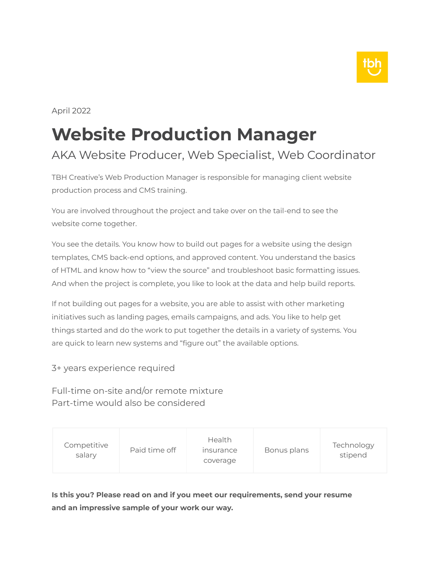

April 2022

# **Website Production Manager**

### AKA Website Producer, Web Specialist, Web Coordinator

TBH Creative's Web Production Manager is responsible for managing client website production process and CMS training.

You are involved throughout the project and take over on the tail-end to see the website come together.

You see the details. You know how to build out pages for a website using the design templates, CMS back-end options, and approved content. You understand the basics of HTML and know how to "view the source" and troubleshoot basic formatting issues. And when the project is complete, you like to look at the data and help build reports.

If not building out pages for a website, you are able to assist with other marketing initiatives such as landing pages, emails campaigns, and ads. You like to help get things started and do the work to put together the details in a variety of systems. You are quick to learn new systems and "figure out" the available options.

3+ years experience required

Full-time on-site and/or remote mixture Part-time would also be considered

| Competitive<br>salary | Paid time off | <b>Health</b><br><i><b>Insurance</b></i><br>coverage | Bonus plans | Technology<br>stipend |
|-----------------------|---------------|------------------------------------------------------|-------------|-----------------------|
|-----------------------|---------------|------------------------------------------------------|-------------|-----------------------|

**Is this you? Please read on and if you meet our requirements, send your resume and an impressive sample of your work our way.**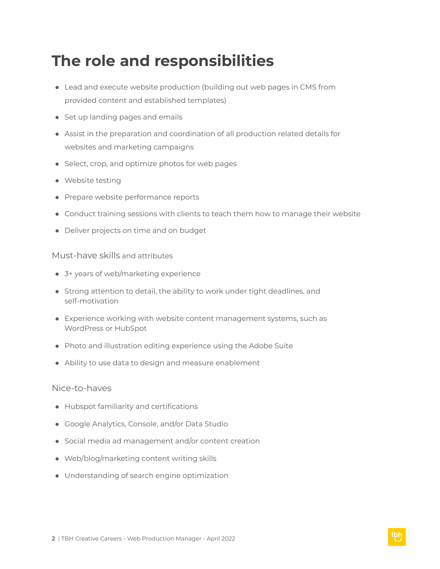### **The role and responsibilities**

- Lead and execute website production (building out web pages in CMS from provided content and established templates)
- Set up landing pages and emails
- Assist in the preparation and coordination of all production related details for websites and marketing campaigns
- Select, crop, and optimize photos for web pages
- Website testing
- Prepare website performance reports
- Conduct training sessions with clients to teach them how to manage their website
- Deliver projects on time and on budget

#### Must-have skills and attributes

- 3+ years of web/marketing experience
- Strong attention to detail, the ability to work under tight deadlines, and self-motivation
- Experience working with website content management systems, such as WordPress or HubSpot
- Photo and illustration editing experience using the Adobe Suite
- Ability to use data to design and measure enablement

#### Nice-to-haves

- Hubspot familiarity and certifications
- Google Analytics, Console, and/or Data Studio
- Social media ad management and/or content creation
- Web/blog/marketing content writing skills
- Understanding of search engine optimization